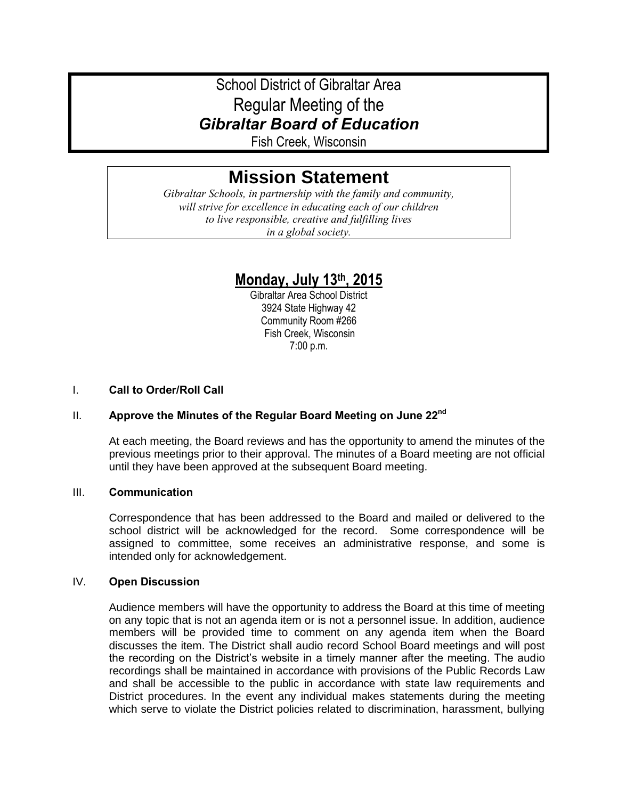# School District of Gibraltar Area Regular Meeting of the *Gibraltar Board of Education*

Fish Creek, Wisconsin

# **Mission Statement**

*Gibraltar Schools, in partnership with the family and community, will strive for excellence in educating each of our children to live responsible, creative and fulfilling lives in a global society.*

# **Monday, July 13th, 2015**

Gibraltar Area School District 3924 State Highway 42 Community Room #266 Fish Creek, Wisconsin 7:00 p.m.

# I. **Call to Order/Roll Call**

# II. **Approve the Minutes of the Regular Board Meeting on June 22nd**

At each meeting, the Board reviews and has the opportunity to amend the minutes of the previous meetings prior to their approval. The minutes of a Board meeting are not official until they have been approved at the subsequent Board meeting.

# III. **Communication**

Correspondence that has been addressed to the Board and mailed or delivered to the school district will be acknowledged for the record. Some correspondence will be assigned to committee, some receives an administrative response, and some is intended only for acknowledgement.

# IV. **Open Discussion**

Audience members will have the opportunity to address the Board at this time of meeting on any topic that is not an agenda item or is not a personnel issue. In addition, audience members will be provided time to comment on any agenda item when the Board discusses the item. The District shall audio record School Board meetings and will post the recording on the District's website in a timely manner after the meeting. The audio recordings shall be maintained in accordance with provisions of the Public Records Law and shall be accessible to the public in accordance with state law requirements and District procedures. In the event any individual makes statements during the meeting which serve to violate the District policies related to discrimination, harassment, bullying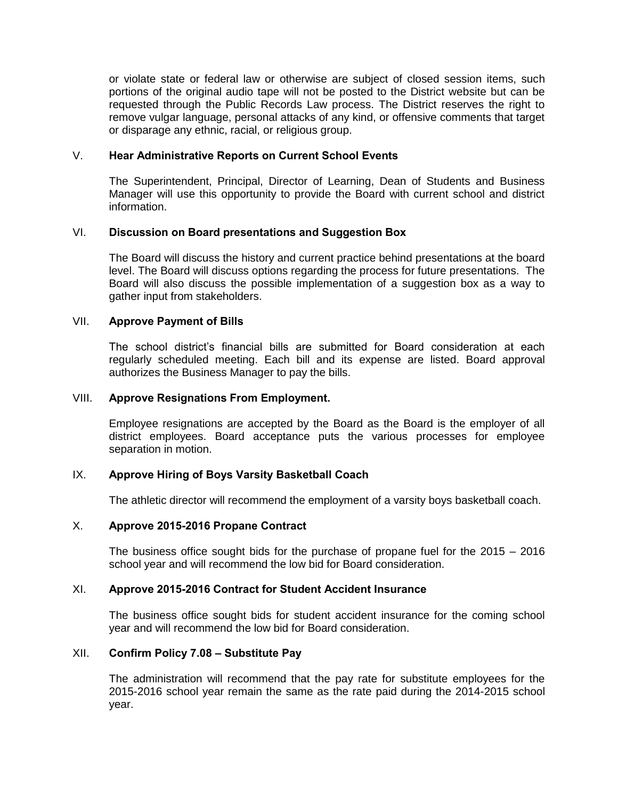or violate state or federal law or otherwise are subject of closed session items, such portions of the original audio tape will not be posted to the District website but can be requested through the Public Records Law process. The District reserves the right to remove vulgar language, personal attacks of any kind, or offensive comments that target or disparage any ethnic, racial, or religious group.

#### V. **Hear Administrative Reports on Current School Events**

The Superintendent, Principal, Director of Learning, Dean of Students and Business Manager will use this opportunity to provide the Board with current school and district information.

#### VI. **Discussion on Board presentations and Suggestion Box**

The Board will discuss the history and current practice behind presentations at the board level. The Board will discuss options regarding the process for future presentations. The Board will also discuss the possible implementation of a suggestion box as a way to gather input from stakeholders.

#### VII. **Approve Payment of Bills**

The school district's financial bills are submitted for Board consideration at each regularly scheduled meeting. Each bill and its expense are listed. Board approval authorizes the Business Manager to pay the bills.

#### VIII. **Approve Resignations From Employment.**

Employee resignations are accepted by the Board as the Board is the employer of all district employees. Board acceptance puts the various processes for employee separation in motion.

# IX. **Approve Hiring of Boys Varsity Basketball Coach**

The athletic director will recommend the employment of a varsity boys basketball coach.

#### X. **Approve 2015-2016 Propane Contract**

The business office sought bids for the purchase of propane fuel for the 2015 – 2016 school year and will recommend the low bid for Board consideration.

#### XI. **Approve 2015-2016 Contract for Student Accident Insurance**

The business office sought bids for student accident insurance for the coming school year and will recommend the low bid for Board consideration.

#### XII. **Confirm Policy 7.08 – Substitute Pay**

The administration will recommend that the pay rate for substitute employees for the 2015-2016 school year remain the same as the rate paid during the 2014-2015 school year.